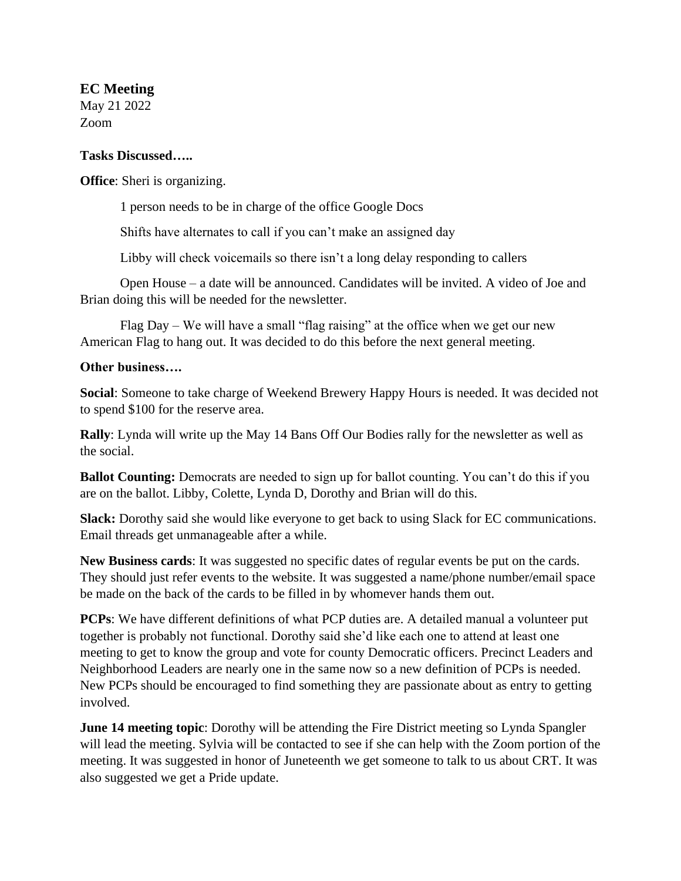## **EC Meeting**

May 21 2022 Zoom

## **Tasks Discussed…..**

**Office**: Sheri is organizing.

1 person needs to be in charge of the office Google Docs

Shifts have alternates to call if you can't make an assigned day

Libby will check voicemails so there isn't a long delay responding to callers

Open House – a date will be announced. Candidates will be invited. A video of Joe and Brian doing this will be needed for the newsletter.

Flag Day – We will have a small "flag raising" at the office when we get our new American Flag to hang out. It was decided to do this before the next general meeting.

## **Other business….**

**Social**: Someone to take charge of Weekend Brewery Happy Hours is needed. It was decided not to spend \$100 for the reserve area.

**Rally**: Lynda will write up the May 14 Bans Off Our Bodies rally for the newsletter as well as the social.

**Ballot Counting:** Democrats are needed to sign up for ballot counting. You can't do this if you are on the ballot. Libby, Colette, Lynda D, Dorothy and Brian will do this.

**Slack:** Dorothy said she would like everyone to get back to using Slack for EC communications. Email threads get unmanageable after a while.

**New Business cards**: It was suggested no specific dates of regular events be put on the cards. They should just refer events to the website. It was suggested a name/phone number/email space be made on the back of the cards to be filled in by whomever hands them out.

**PCPs**: We have different definitions of what PCP duties are. A detailed manual a volunteer put together is probably not functional. Dorothy said she'd like each one to attend at least one meeting to get to know the group and vote for county Democratic officers. Precinct Leaders and Neighborhood Leaders are nearly one in the same now so a new definition of PCPs is needed. New PCPs should be encouraged to find something they are passionate about as entry to getting involved.

**June 14 meeting topic**: Dorothy will be attending the Fire District meeting so Lynda Spangler will lead the meeting. Sylvia will be contacted to see if she can help with the Zoom portion of the meeting. It was suggested in honor of Juneteenth we get someone to talk to us about CRT. It was also suggested we get a Pride update.